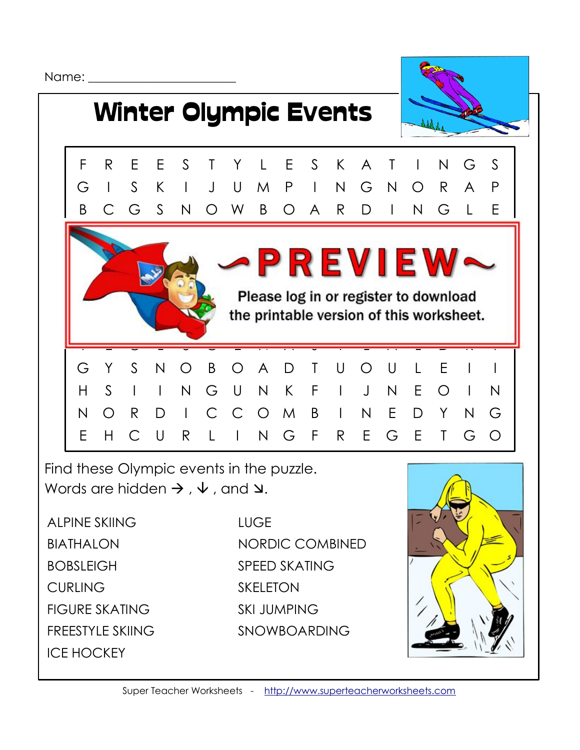Name:  $\Box$ 



Find these Olympic events in the puzzle. Words are hidden  $\rightarrow$  ,  $\downarrow$  , and  $\vee$ .

ALPINE SKIING BIATHALON BOBSLEIGH **CURLING** FIGURE SKATING FREESTYLE SKIING ICE HOCKEY

**LUGE** NORDIC COMBINED SPEED SKATING SKELETON SKI JUMPING SNOWBOARDING